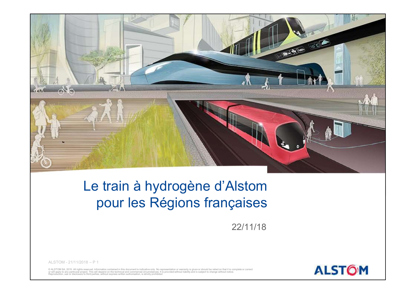

### pour les Régions françaises

22/11/18

**ALSTOM** 

© ALSTOM SA, 2015. All rights reserved. Information contained in this document is indicative only. No representation or warranty is given or should be relied on that it is complete or correct<br>or will apply to any particula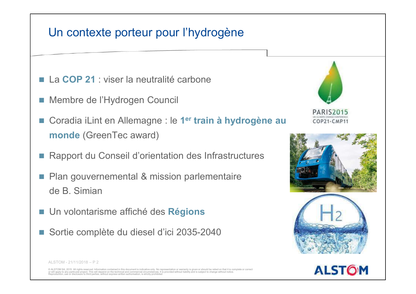### Un contexte porteur pour l'hydrogène

- La COP 21 : viser la neutralité carbone
- 
- Un contexte porteur pour l'hydrogène<br>■ La COP 21 : viser la neutralité carbone<br>■ Membre de l'Hydrogen Council<br>■ Coradia iLint en Allemagne : le 1<sup>er</sup> train à hydrogène au<br>■ membre (CurryTra curryt) Un contexte porteur pour l'hydrogène<br>■ La COP 21 : viser la neutralité carbone<br>■ Membre de l'Hydrogen Council<br>■ Coradia iLint en Allemagne : le 1<sup>er</sup> train à hydrogène<br>monde (GreenTec award)<br>■ Persent du Conseil d'existat Coradia iLint en Allemagne : le 1er train à hydrogène au cop21. CMP11 Un contexte porteur pour l'hydrogène<br>La COP 21 : viser la neutralité carbone<br>Membre de l'Hydrogen Council<br>Coradia iLint en Allemagne : le 1<sup>er</sup> train à hydrogène au<br>monde (GreenTec award)<br>Rapport du Conseil d'orientation d
- Rapport du Conseil d'orientation des Infrastructures
- monde (Green I ec award)<br>
Rapport du Conseil d'orientation des Infrastructur<br>
Plan gouvernemental & mission parlementaire<br>
de B. Simian<br>
Un volontarisme affiché des **Régions**<br>
Sortie complète du diesel d'ici 2035-2040 **Plan gouvernemental & mission parlementaire** de B. Simian
- Un volontarisme affiché des Régions
- Sortie complète du diesel d'ici 2035-2040









© ALSTOM SA, 2015. All rights reserved. Information contained in this document is indicative only. No representation or warranty is given or should be relied on that it is comp or will apply to any particular project. This will depend on the technical and commercial circumstances. It is provided without liability and is subject to change without notice.<br>Reproduction, use or disclosure to third pa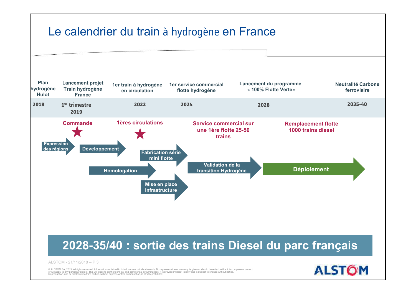

or will apply to any particular project. This will depend on the technical and commercial circumstances. It is provided without liability and is subject to change without notice.<br>Reproduction, use or disclosure to third pa

**ALSTOM**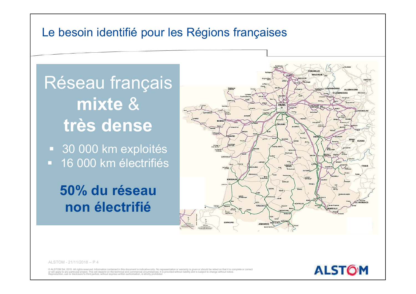### Le besoin identifié pour les Régions françaises

### Réseau français mixte & très dense

**30 000 km exploités 16 000 km électrifiés** 

50% du réseau non électrifié



© ALSTOM SA, 2015. All rights reserved, Information contained in this document is indicative only. No representation or warranty is given or should be relied on that it is complete or correction or will apply to any particular project. This will depend on the technical and commercial circumstances. It is provided without liability and is subject to change without notice.<br>Reproduction, use or disclosure to third pa

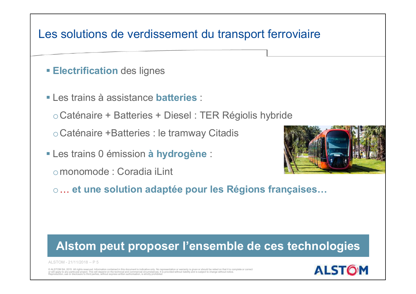## Les solutions de verdissement du transport ferroviaire ocaténaire + Batteries : le tramway Citadis<br>
→ Caténaire + Batteries + Diesel : TER Régiolis hybride<br>
→ Caténaire + Batteries : le tramway Citadis

- **Electrification des lignes**
- Les trains à assistance **batteries** :

oCaténaire +Batteries : le tramway Citadis

- **Les trains 0 émission à hydrogène :** 
	-



Electrification des lignes<br>
Les trains à assistance batteries :<br>
o Caténaire + Batteries + Diesel : TER Régiolis hybride<br>
o Caténaire +Batteries : le tramway Citadis<br>
Les trains 0 émission à hydrogène :<br>
o monomode : Corad o… et une solution adaptée pour les Régions françaises…

## Caterialre +Batteries : le tramway Citadis<br>
Les trains 0 émission à hydrogène :<br>
omonomode : Coradia iLint<br>
o... et une solution adaptée pour les Régio<br>
Alstom peut proposer l'ensemble d Alstom peut proposer l'ensemble de ces technologies

© ALSTOM SA, 2015. All rights reserved. Information contained in this document is indicative only. No representation or warranty is given or should be relied on that it is complete or correction or will apply to any particular project. This will depend on the technical and commercial circumstances. It is provided without liability and is subject to change without notice.<br>Reproduction, use or disclosure to third pa

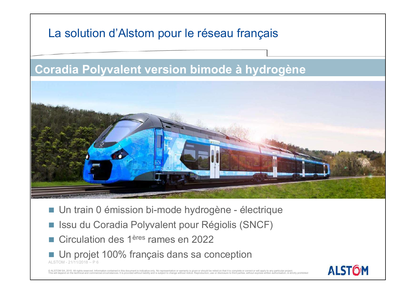### ALSTON - 21/11/2018 – P 6<br>
ALSTON - 21/11/2018 – P 6<br>
ALSTOM - 21/11/2018 – P 6<br>
ALSTOM - 21/11/2018 – P 6<br>
ALSTOM - 21/11/2018 – P 6<br>
ALSTOM - 21/11/2018 – P 6<br>
ALSTOM - 21/11/2018 – P 6<br>
ALSTOM - 21/11/2018 – P 6<br>
ALSTOM La solution d'Alstom pour le réseau français Un train 0 émission bi-mode hydrogène - électrique<br>
I Issu du Coradia Polyvalent pour Régiolis (SNCF)<br>
I Circulation des 1ères rames en 2022 ISSU du Coradia Polyvalent pour Régiolis (SNCF)<br>
ISSU du Coradia Polyvalent pour Régiolis (SNCF)<br>
ISSU du Coradia Polyvalent pour Régiolis (SNCF)<br>
ISSU du Coradia Polyvalent pour Régiolis (SNCF)<br>
ISSU du projet 100% frança La solution d'Alstom pour le réseau français<br>Coradia Polyvalent version bimode à hydrogène<br>N

- 
- 
- Circulation des 1<sup>ères</sup> rames en 2022
- Un projet 100% français dans sa conception

© ALSTOM SA, 2015. All rights reserved. Information contained in this document is indicative only. No representation or warranty is given or should be relied on that it is complete or correct or will apply to any particula

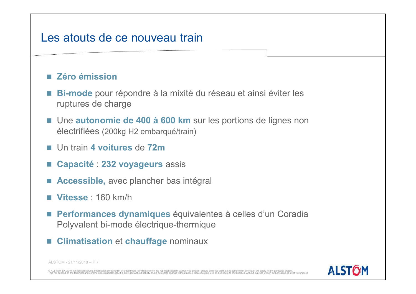# Les atouts de ce nouveau train

### **Zéro émission**

- Bi-mode pour répondre à la mixité du réseau et ainsi éviter les ruptures de charge
- Une autonomie de 400 à 600 km sur les portions de lignes non électrifiées (200kg H2 embarqué/train)
- Un train 4 voitures de 72m
- Capacité : 232 voyageurs assis
- Accessible, avec plancher bas intégral
- **Vitesse** : 160 km/h
- Un train 4 voitures de 72m<br>
 Capacité : 232 voyageurs assis<br>
 Accessible, avec plancher bas intégral<br>
 Vitesse : 160 km/h<br>
 Performances dynamiques équivalentes à celles<br>
Polyvalent bi-mode électrique-thermique<br>
 **Performances dynamiques** équivalentes à celles d'un Coradia Polyvalent bi-mode électrique-thermique
- Climatisation et chauffage nominaux

© ALSTOM SA, 2015. All rights reserved. Information contained in this document is indicative only. No representation or warranty is given or should be relied on that it is complete or correct or will apply to any particula

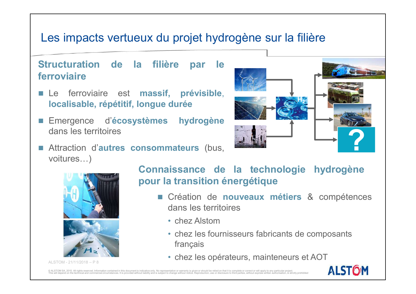# Les impacts vertueux du projet hydrogène sur la filière<br>Structuration de la filière par le

## ferroviaire es impacts vertueux du projet hydrogène<br>
ructuration de la filière par le<br>
rroviaire<br>
Le ferroviaire est massif, prévisible,<br>
localisable, répétitif, longue durée<br>
Emergence d'écosystèmes hydrogène<br>
dans les territoires<br>
A

- 
- 
- voitures…)





- - chez Alstom
	- chez les fournisseurs fabricants de composants français
	- chez les opérateurs, mainteneurs et AOT

© ALSTOM SA, 2015. All rights reserved. Information contained in this document is indicative only. No representation or warranty is given or should be relied on that it is complete or correct or will apply to any particula